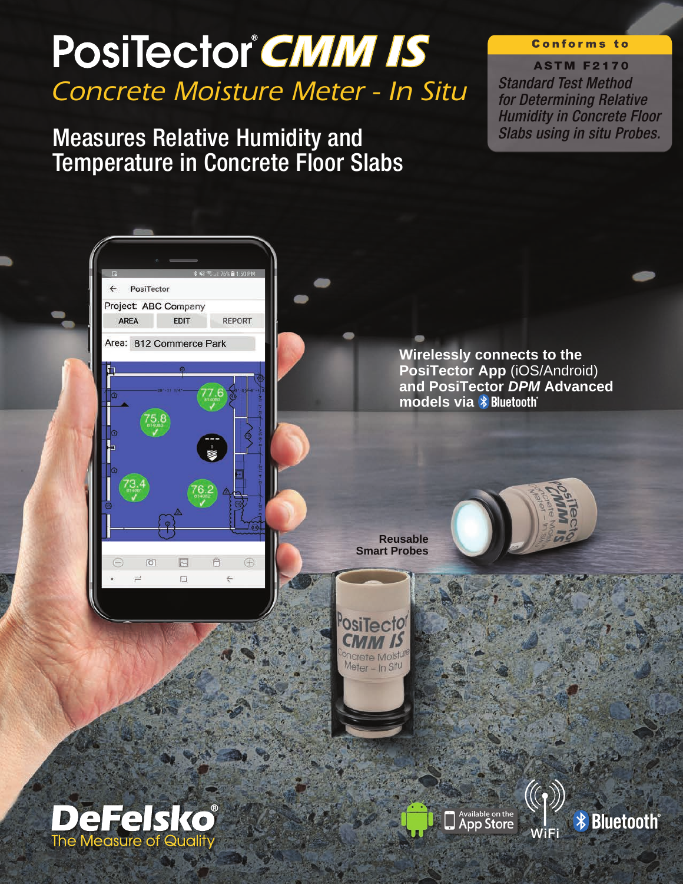# *Concrete Moisture Meter - In Situ* **PosiTector CMM IS**

Measures Relative Humidity and Temperature in Concrete Floor Slabs

#### **Conforms to**

**ASTM F2170**

*Standard Test Method for Determining Relative Humidity in Concrete Floor Slabs using in situ Probes.*